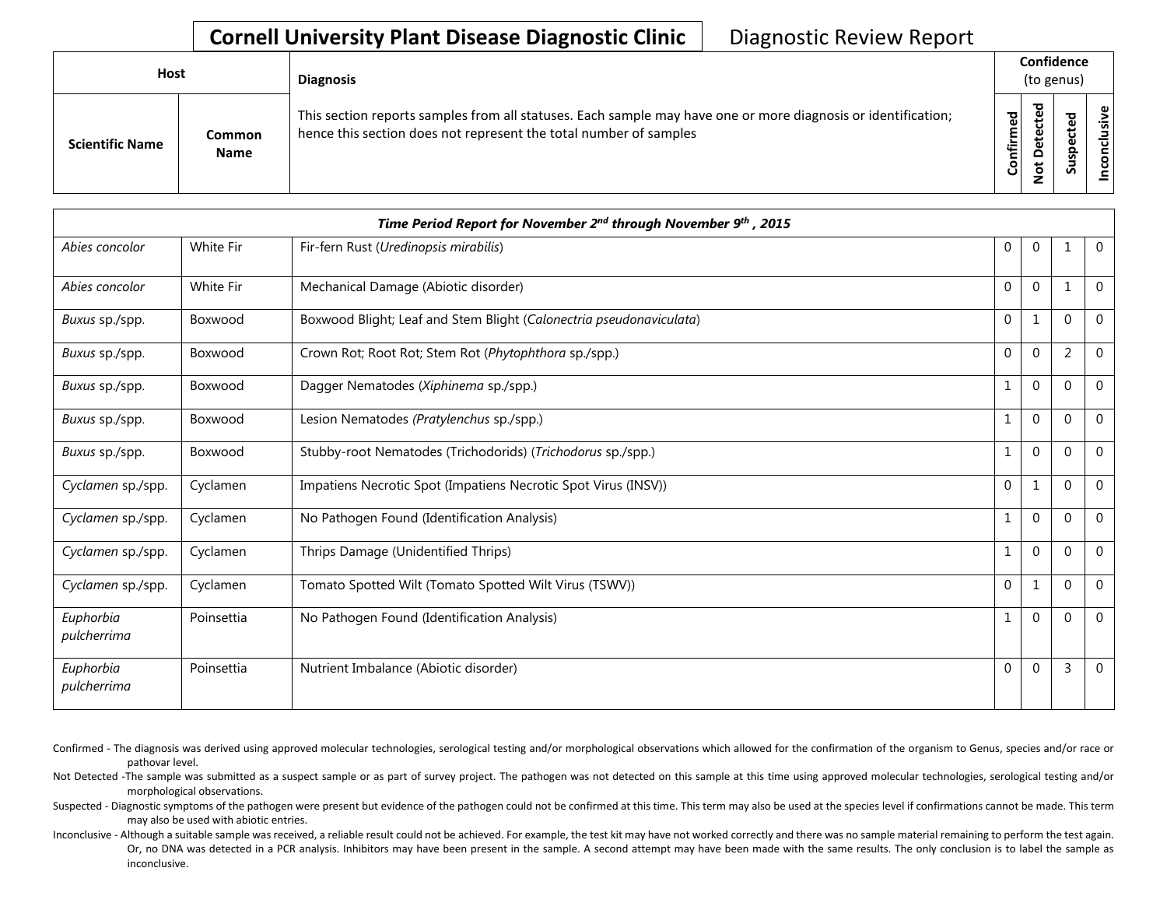## **Cornell University Plant Disease Diagnostic Clinic** | Diagnostic Review Report

| Host                   |                       | <b>Diagnosis</b>                                                                                                                                                                   |                     | Confidence<br>(to genus)     |                                 |                       |
|------------------------|-----------------------|------------------------------------------------------------------------------------------------------------------------------------------------------------------------------------|---------------------|------------------------------|---------------------------------|-----------------------|
| <b>Scientific Name</b> | Common<br><b>Name</b> | This section reports samples from all statuses. Each sample may have one or more diagnosis or identification;<br>hence this section does not represent the total number of samples | යි<br>ග<br>Confirme | ᇃ<br>$\Omega$<br>$\tilde{S}$ | ъ<br>ω<br>ω<br>요<br>s<br>∍<br>n | $\bullet$ 1<br>⊻<br>۰ |

|                          |                  | Time Period Report for November 2 <sup>nd</sup> through November 9 <sup>th</sup> , 2015 |                  |                |                |             |
|--------------------------|------------------|-----------------------------------------------------------------------------------------|------------------|----------------|----------------|-------------|
| Abies concolor           | <b>White Fir</b> | Fir-fern Rust (Uredinopsis mirabilis)                                                   | 0                | $\overline{0}$ | 1              | $\mathbf 0$ |
| Abies concolor           | White Fir        | Mechanical Damage (Abiotic disorder)                                                    | $\boldsymbol{0}$ | $\mathbf{0}$   | $\mathbf{1}$   | 0           |
| Buxus sp./spp.           | Boxwood          | Boxwood Blight; Leaf and Stem Blight (Calonectria pseudonaviculata)                     | 0                | 1              | $\mathbf 0$    | $\Omega$    |
| Buxus sp./spp.           | Boxwood          | Crown Rot; Root Rot; Stem Rot (Phytophthora sp./spp.)                                   | $\mathbf{0}$     | $\overline{0}$ | $\overline{2}$ | $\Omega$    |
| Buxus sp./spp.           | Boxwood          | Dagger Nematodes (Xiphinema sp./spp.)                                                   | 1                | $\Omega$       | $\Omega$       | $\Omega$    |
| Buxus sp./spp.           | Boxwood          | Lesion Nematodes (Pratylenchus sp./spp.)                                                | 1                | $\mathbf{0}$   | $\mathbf 0$    | $\Omega$    |
| Buxus sp./spp.           | Boxwood          | Stubby-root Nematodes (Trichodorids) (Trichodorus sp./spp.)                             | 1                | $\mathbf{0}$   | $\mathbf 0$    | $\Omega$    |
| Cyclamen sp./spp.        | Cyclamen         | Impatiens Necrotic Spot (Impatiens Necrotic Spot Virus (INSV))                          | $\mathbf{0}$     | $\mathbf{1}$   | $\Omega$       | $\Omega$    |
| Cyclamen sp./spp.        | Cyclamen         | No Pathogen Found (Identification Analysis)                                             | 1                | $\mathbf{0}$   | $\mathbf 0$    | $\Omega$    |
| Cyclamen sp./spp.        | Cyclamen         | Thrips Damage (Unidentified Thrips)                                                     | 1                | $\mathbf{0}$   | $\mathbf{0}$   | $\Omega$    |
| Cyclamen sp./spp.        | Cyclamen         | Tomato Spotted Wilt (Tomato Spotted Wilt Virus (TSWV))                                  | $\mathbf{0}$     | 1              | $\mathbf 0$    | $\mathbf 0$ |
| Euphorbia<br>pulcherrima | Poinsettia       | No Pathogen Found (Identification Analysis)                                             | 1                | $\overline{0}$ | $\mathbf{0}$   | $\Omega$    |
| Euphorbia<br>pulcherrima | Poinsettia       | Nutrient Imbalance (Abiotic disorder)                                                   | $\mathbf 0$      | $\mathbf{0}$   | 3              | $\mathbf 0$ |

- Confirmed The diagnosis was derived using approved molecular technologies, serological testing and/or morphological observations which allowed for the confirmation of the organism to Genus, species and/or race or pathovar level.
- Not Detected -The sample was submitted as a suspect sample or as part of survey project. The pathogen was not detected on this sample at this time using approved molecular technologies, serological testing and/or morphological observations.
- Suspected Diagnostic symptoms of the pathogen were present but evidence of the pathogen could not be confirmed at this time. This term may also be used at the species level if confirmations cannot be made. This term may also be used with abiotic entries.
- Inconclusive Although a suitable sample was received, a reliable result could not be achieved. For example, the test kit may have not worked correctly and there was no sample material remaining to perform the test again. Or, no DNA was detected in a PCR analysis. Inhibitors may have been present in the sample. A second attempt may have been made with the same results. The only conclusion is to label the sample as inconclusive.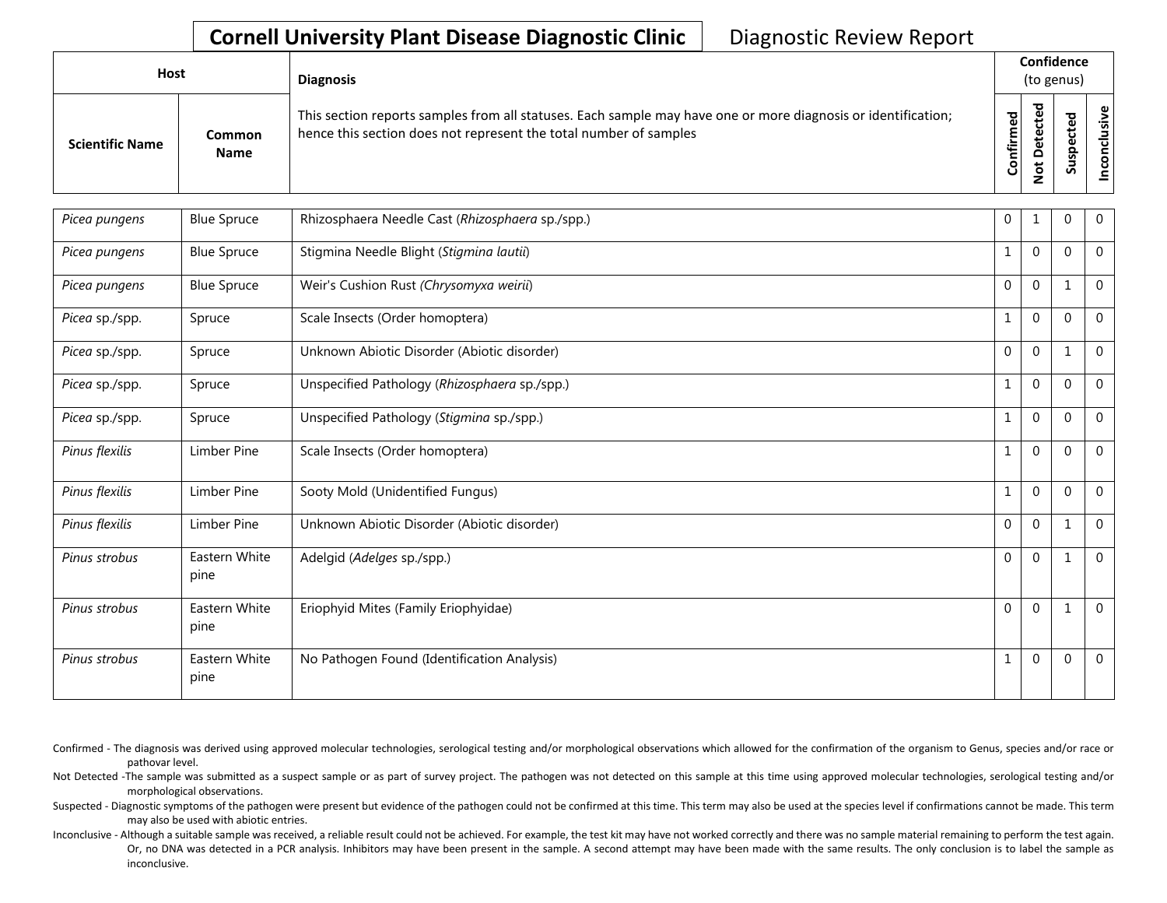## **Cornell University Plant Disease Diagnostic Clinic** | Diagnostic Review Report

| Host                   |                              | <b>Diagnosis</b>                                                                                                                                                                   |                    | Confidence<br>(to genus) |                              |                                     |
|------------------------|------------------------------|------------------------------------------------------------------------------------------------------------------------------------------------------------------------------------|--------------------|--------------------------|------------------------------|-------------------------------------|
| <b>Scientific Name</b> | <b>Common</b><br><b>Name</b> | This section reports samples from all statuses. Each sample may have one or more diagnosis or identification;<br>hence this section does not represent the total number of samples | ਠ<br>ω<br>Confirme | ಕ<br>$\Omega$<br>o       | ω<br>ω<br>௨<br><b>S</b><br>Ū | $\omega$<br>$\overline{\mathbf{S}}$ |

| Picea pungens  | <b>Blue Spruce</b>    | Rhizosphaera Needle Cast (Rhizosphaera sp./spp.) | $\mathbf 0$  |                | $\Omega$    | $\mathbf{0}$   |
|----------------|-----------------------|--------------------------------------------------|--------------|----------------|-------------|----------------|
| Picea pungens  | <b>Blue Spruce</b>    | Stigmina Needle Blight (Stigmina lautii)         | 1            | $\mathbf 0$    | $\Omega$    | $\mathbf 0$    |
| Picea pungens  | <b>Blue Spruce</b>    | Weir's Cushion Rust (Chrysomyxa weirii)          | $\mathbf{0}$ | $\mathbf 0$    |             | $\mathbf 0$    |
| Picea sp./spp. | Spruce                | Scale Insects (Order homoptera)                  | 1            | $\mathbf 0$    | $\Omega$    | $\overline{0}$ |
| Picea sp./spp. | Spruce                | Unknown Abiotic Disorder (Abiotic disorder)      | $\mathbf 0$  | $\mathbf 0$    |             | $\mathbf 0$    |
| Picea sp./spp. | Spruce                | Unspecified Pathology (Rhizosphaera sp./spp.)    | 1            | $\Omega$       | $\Omega$    | $\overline{0}$ |
| Picea sp./spp. | Spruce                | Unspecified Pathology (Stigmina sp./spp.)        | 1            | $\overline{0}$ | $\Omega$    | $\mathbf{0}$   |
| Pinus flexilis | Limber Pine           | Scale Insects (Order homoptera)                  | 1            | $\mathbf{0}$   | $\Omega$    | $\mathbf 0$    |
| Pinus flexilis | Limber Pine           | Sooty Mold (Unidentified Fungus)                 | $\mathbf{1}$ | $\mathbf{0}$   | $\Omega$    | $\mathbf 0$    |
| Pinus flexilis | Limber Pine           | Unknown Abiotic Disorder (Abiotic disorder)      | $\mathbf{0}$ | $\Omega$       | 1           | $\Omega$       |
| Pinus strobus  | Eastern White<br>pine | Adelgid (Adelges sp./spp.)                       | $\mathbf{0}$ | $\mathbf{0}$   |             | $\mathbf 0$    |
| Pinus strobus  | Eastern White<br>pine | Eriophyid Mites (Family Eriophyidae)             | $\mathbf{0}$ | $\Omega$       |             | $\overline{0}$ |
| Pinus strobus  | Eastern White<br>pine | No Pathogen Found (Identification Analysis)      | 1            | $\mathbf 0$    | $\mathbf 0$ | $\mathbf 0$    |

- Confirmed The diagnosis was derived using approved molecular technologies, serological testing and/or morphological observations which allowed for the confirmation of the organism to Genus, species and/or race or pathovar level.
- Not Detected -The sample was submitted as a suspect sample or as part of survey project. The pathogen was not detected on this sample at this time using approved molecular technologies, serological testing and/or morphological observations.
- Suspected Diagnostic symptoms of the pathogen were present but evidence of the pathogen could not be confirmed at this time. This term may also be used at the species level if confirmations cannot be made. This term may also be used with abiotic entries.
- Inconclusive Although a suitable sample was received, a reliable result could not be achieved. For example, the test kit may have not worked correctly and there was no sample material remaining to perform the test again. Or, no DNA was detected in a PCR analysis. Inhibitors may have been present in the sample. A second attempt may have been made with the same results. The only conclusion is to label the sample as inconclusive.